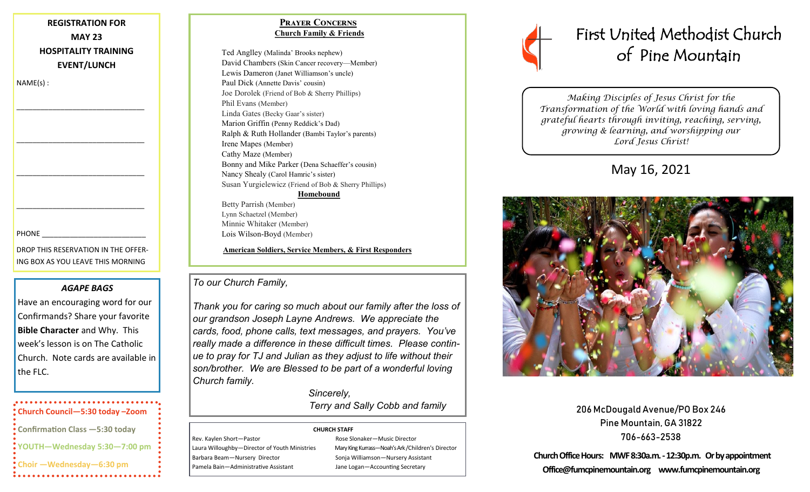## **REGISTRATION FOR MAY 23 HOSPITALITY TRAINING EVENT/LUNCH**

\_\_\_\_\_\_\_\_\_\_\_\_\_\_\_\_\_\_\_\_\_\_\_\_\_\_\_\_\_\_\_\_

\_\_\_\_\_\_\_\_\_\_\_\_\_\_\_\_\_\_\_\_\_\_\_\_\_\_\_\_\_\_\_\_

\_\_\_\_\_\_\_\_\_\_\_\_\_\_\_\_\_\_\_\_\_\_\_\_\_\_\_\_\_\_\_\_

\_\_\_\_\_\_\_\_\_\_\_\_\_\_\_\_\_\_\_\_\_\_\_\_\_\_\_\_\_\_\_\_

NAME(s) :

#### PHONE

DROP THIS RESERVATION IN THE OFFER-ING BOX AS YOU LEAVE THIS MORNING

## *AGAPE BAGS*

Have an encouraging word for our Confirmands? Share your favorite **Bible Character** and Why. This week's lesson is on The Catholic Church. Note cards are available in the FLC.

# **Church Council—5:30 today –Zoom Confirmation Class —5:30 today YOUTH—Wednesday 5:30—7:00 pm Choir —Wednesday—6:30 pm**

## **Prayer Concerns Church Family & Friends**

Ted Anglley (Malinda' Brooks nephew) David Chambers (Skin Cancer recovery—Member) Lewis Dameron (Janet Williamson's uncle) Paul Dick (Annette Davis' cousin) Joe Dorolek (Friend of Bob & Sherry Phillips) Phil Evans (Member) Linda Gates (Becky Gaar's sister) Marion Griffin (Penny Reddick's Dad) Ralph & Ruth Hollander (Bambi Taylor's parents) Irene Mapes (Member) Cathy Maze (Member) Bonny and Mike Parker (Dena Schaeffer's cousin) Nancy Shealy (Carol Hamric's sister) Susan Yurgielewicz (Friend of Bob & Sherry Phillips) **Homebound**

Betty Parrish (Member) Lynn Schaetzel (Member) Minnie Whitaker (Member) Lois Wilson-Boyd (Member)

### **American Soldiers, Service Members, & First Responders**

## *To our Church Family,*

*Thank you for caring so much about our family after the loss of our grandson Joseph Layne Andrews. We appreciate the cards, food, phone calls, text messages, and prayers. You've really made a difference in these difficult times. Please continue to pray for TJ and Julian as they adjust to life without their son/brother. We are Blessed to be part of a wonderful loving Church family.* 

> *Sincerely, Terry and Sally Cobb and family*

#### **CHURCH STAFF**

Rev. Kaylen Short-Pastor Rose Slonaker-Music Director Laura Willoughby—Director of Youth Ministries Mary King Kurrass—Noah's Ark /Children's Director Barbara Beam—Nursery Director Sonja Williamson—Nursery Assistant Pamela Bain—Administrative Assistant Jane Logan—Accounting Secretary

# First United Methodist Church of Pine Mountain

*Making Disciples of Jesus Christ for the Transformation of the World with loving hands and grateful hearts through inviting, reaching, serving, growing & learning, and worshipping our Lord Jesus Christ!* 

## May 16, 2021



206 McDougald Avenue/PO Box 246 Pine Mountain, GA 31822 706-663-2538

**Church Office Hours: MWF 8:30a.m. -12:30p.m. Or by appointment Office@fumcpinemountain.org www.fumcpinemountain.org**